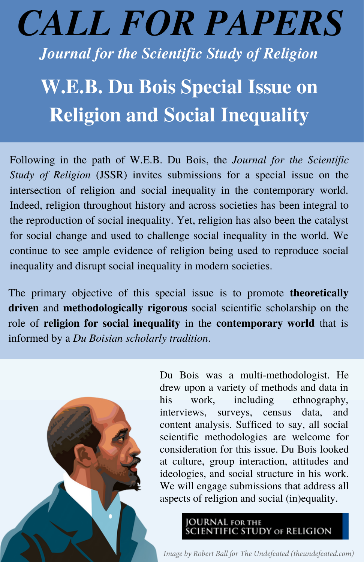## *CALL FOR PAPERS*

*Journal for the Scientific Study of Religion*

## **W.E.B. Du Bois Special Issue on Religion and Social Inequality**

Following in the path of W.E.B. Du Bois, the *Journal for the Scientific Study of Religion* (JSSR) invites submissions for a special issue on the intersection of religion and social inequality in the contemporary world. Indeed, religion throughout history and across societies has been integral to the reproduction of social inequality. Yet, religion has also been the catalyst for social change and used to challenge social inequality in the world. We continue to see ample evidence of religion being used to reproduce social inequality and disrupt social inequality in modern societies.

The primary objective of this special issue is to promote **theoretically driven** and **methodologically rigorous** social scientific scholarship on the role of **religion for social inequality** in the **contemporary world** that is informed by a *Du Boisian scholarly tradition*.



Du Bois was a multi-methodologist. He drew upon a variety of methods and data in his work, including ethnography, interviews, surveys, census data, and content analysis. Sufficed to say, all social scientific methodologies are welcome for consideration for this issue. Du Bois looked at culture, group interaction, attitudes and ideologies, and social structure in his work. We will engage submissions that address all aspects of religion and social (in)equality.

JOURNAL for the<br>SCIENTIFIC STUDY of RELIGION

*Image by Robert Ball for The Undefeated (theundefeated.com)*